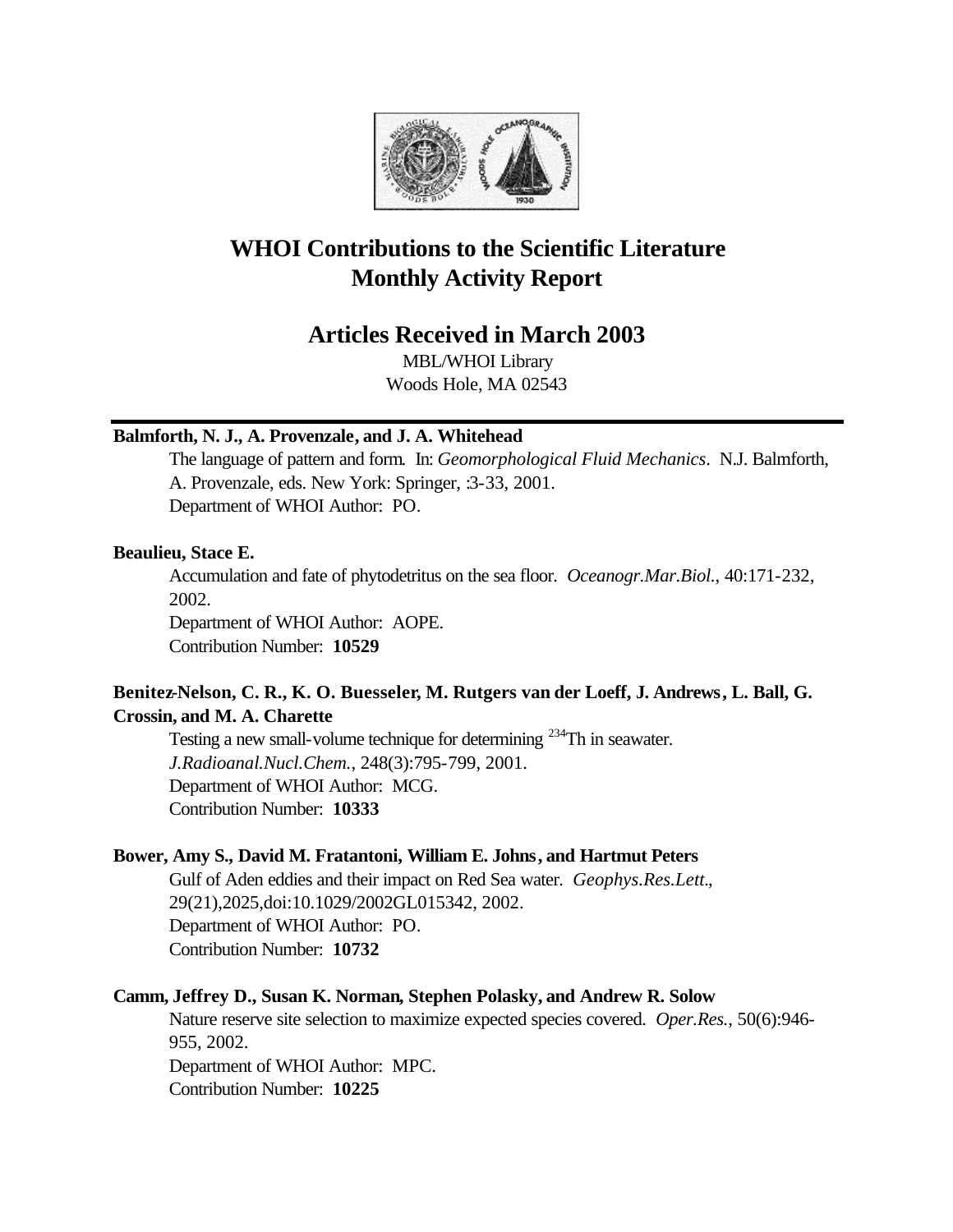

# **WHOI Contributions to the Scientific Literature Monthly Activity Report**

# **Articles Received in March 2003**

MBL/WHOI Library Woods Hole, MA 02543

### **Balmforth, N. J., A. Provenzale, and J. A. Whitehead**

The language of pattern and form. In: *Geomorphological Fluid Mechanics*. N.J. Balmforth, A. Provenzale, eds. New York: Springer, :3-33, 2001. Department of WHOI Author: PO.

### **Beaulieu, Stace E.**

Accumulation and fate of phytodetritus on the sea floor. *Oceanogr.Mar.Biol.*, 40:171-232, 2002.

Department of WHOI Author: AOPE. Contribution Number: **10529**

## **Benitez-Nelson, C. R., K. O. Buesseler, M. Rutgers van der Loeff, J. Andrews, L. Ball, G. Crossin, and M. A. Charette**

Testing a new small-volume technique for determining <sup>234</sup>Th in seawater. *J.Radioanal.Nucl.Chem.*, 248(3):795-799, 2001. Department of WHOI Author: MCG. Contribution Number: **10333**

### **Bower, Amy S., David M. Fratantoni, William E. Johns, and Hartmut Peters**

Gulf of Aden eddies and their impact on Red Sea water. *Geophys.Res.Lett.*, 29(21),2025,doi:10.1029/2002GL015342, 2002. Department of WHOI Author: PO. Contribution Number: **10732**

### **Camm, Jeffrey D., Susan K. Norman, Stephen Polasky, and Andrew R. Solow**

Nature reserve site selection to maximize expected species covered. *Oper.Res.*, 50(6):946- 955, 2002. Department of WHOI Author: MPC. Contribution Number: **10225**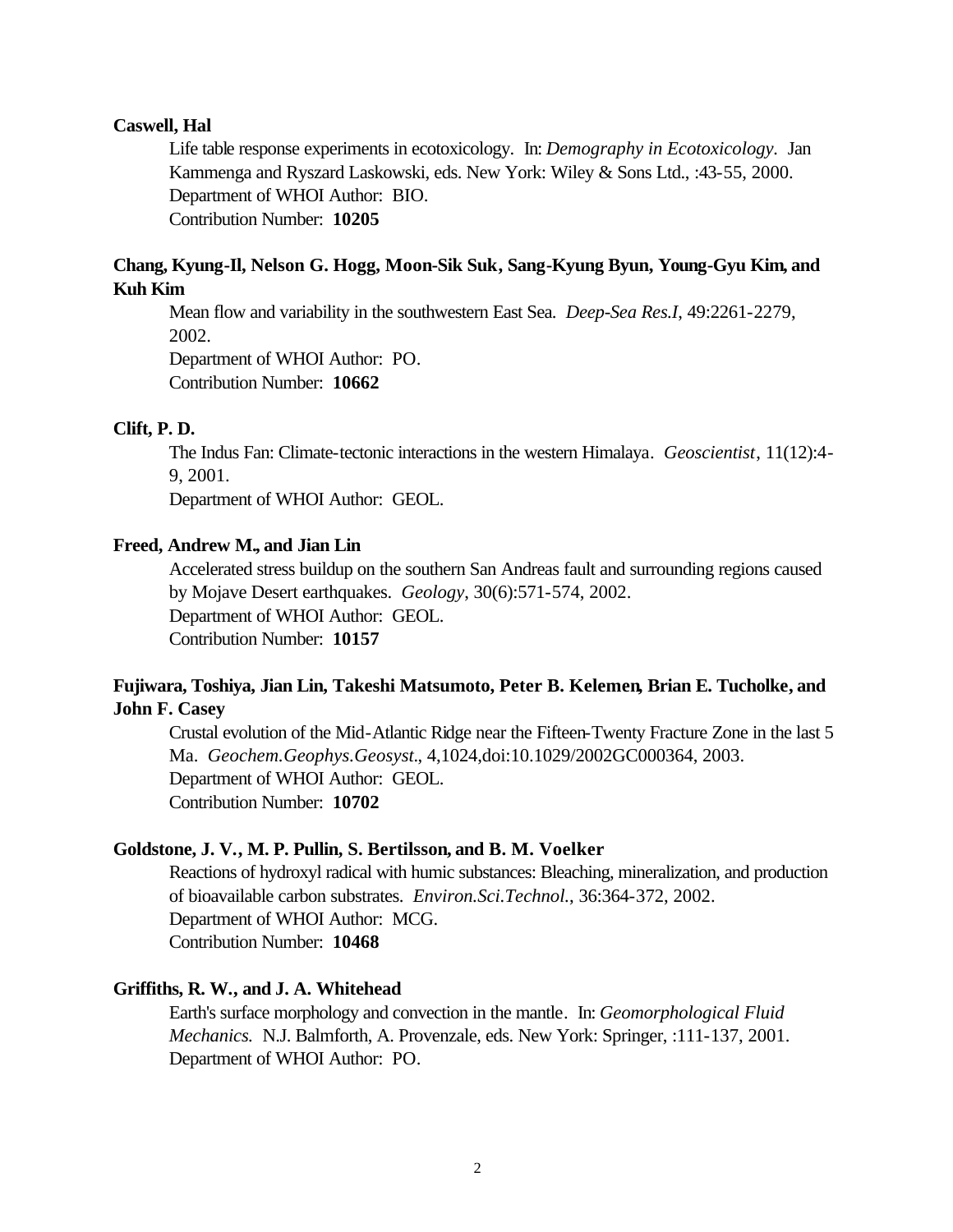### **Caswell, Hal**

Life table response experiments in ecotoxicology. In: *Demography in Ecotoxicology.* Jan Kammenga and Ryszard Laskowski, eds. New York: Wiley & Sons Ltd., :43-55, 2000. Department of WHOI Author: BIO. Contribution Number: **10205**

### **Chang, Kyung-Il, Nelson G. Hogg, Moon-Sik Suk, Sang-Kyung Byun, Young-Gyu Kim, and Kuh Kim**

Mean flow and variability in the southwestern East Sea. *Deep-Sea Res.I*, 49:2261-2279, 2002.

Department of WHOI Author: PO. Contribution Number: **10662**

#### **Clift, P. D.**

The Indus Fan: Climate-tectonic interactions in the western Himalaya. *Geoscientist*, 11(12):4- 9, 2001.

Department of WHOI Author: GEOL.

#### **Freed, Andrew M., and Jian Lin**

Accelerated stress buildup on the southern San Andreas fault and surrounding regions caused by Mojave Desert earthquakes. *Geology*, 30(6):571-574, 2002. Department of WHOI Author: GEOL. Contribution Number: **10157**

### **Fujiwara, Toshiya, Jian Lin, Takeshi Matsumoto, Peter B. Kelemen, Brian E. Tucholke, and John F. Casey**

Crustal evolution of the Mid-Atlantic Ridge near the Fifteen-Twenty Fracture Zone in the last 5 Ma. *Geochem.Geophys.Geosyst.*, 4,1024,doi:10.1029/2002GC000364, 2003. Department of WHOI Author: GEOL. Contribution Number: **10702**

#### **Goldstone, J. V., M. P. Pullin, S. Bertilsson, and B. M. Voelker**

Reactions of hydroxyl radical with humic substances: Bleaching, mineralization, and production of bioavailable carbon substrates. *Environ.Sci.Technol.*, 36:364-372, 2002. Department of WHOI Author: MCG. Contribution Number: **10468**

#### **Griffiths, R. W., and J. A. Whitehead**

Earth's surface morphology and convection in the mantle. In: *Geomorphological Fluid Mechanics.* N.J. Balmforth, A. Provenzale, eds. New York: Springer, :111-137, 2001. Department of WHOI Author: PO.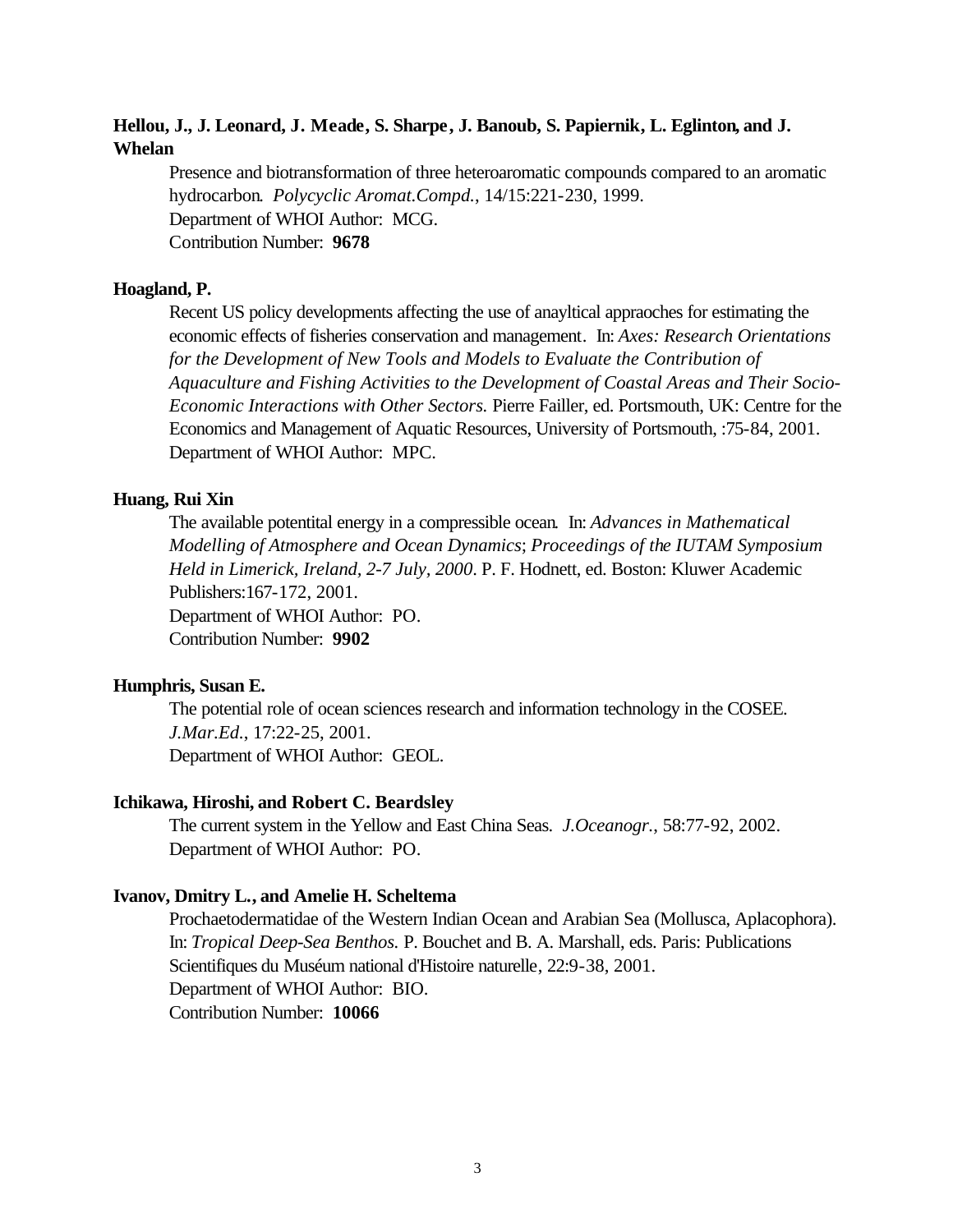### **Hellou, J., J. Leonard, J. Meade, S. Sharpe, J. Banoub, S. Papiernik, L. Eglinton, and J. Whelan**

Presence and biotransformation of three heteroaromatic compounds compared to an aromatic hydrocarbon. *Polycyclic Aromat.Compd.*, 14/15:221-230, 1999. Department of WHOI Author: MCG. Contribution Number: **9678**

#### **Hoagland, P.**

Recent US policy developments affecting the use of anayltical appraoches for estimating the economic effects of fisheries conservation and management. In: *Axes: Research Orientations*  for the Development of New Tools and Models to Evaluate the Contribution of *Aquaculture and Fishing Activities to the Development of Coastal Areas and Their Socio-Economic Interactions with Other Sectors.* Pierre Failler, ed. Portsmouth, UK: Centre for the Economics and Management of Aquatic Resources, University of Portsmouth, :75-84, 2001. Department of WHOI Author: MPC.

### **Huang, Rui Xin**

The available potentital energy in a compressible ocean. In: *Advances in Mathematical Modelling of Atmosphere and Ocean Dynamics*; *Proceedings of the IUTAM Symposium Held in Limerick, Ireland, 2-7 July, 2000*. P. F. Hodnett, ed. Boston: Kluwer Academic Publishers:167-172, 2001. Department of WHOI Author: PO. Contribution Number: **9902**

#### **Humphris, Susan E.**

The potential role of ocean sciences research and information technology in the COSEE. *J.Mar.Ed.*, 17:22-25, 2001. Department of WHOI Author: GEOL.

#### **Ichikawa, Hiroshi, and Robert C. Beardsley**

The current system in the Yellow and East China Seas. *J.Oceanogr.*, 58:77-92, 2002. Department of WHOI Author: PO.

### **Ivanov, Dmitry L., and Amelie H. Scheltema**

Prochaetodermatidae of the Western Indian Ocean and Arabian Sea (Mollusca, Aplacophora). In: *Tropical Deep-Sea Benthos.* P. Bouchet and B. A. Marshall, eds. Paris: Publications Scientifiques du Muséum national d'Histoire naturelle, 22:9-38, 2001. Department of WHOI Author: BIO. Contribution Number: **10066**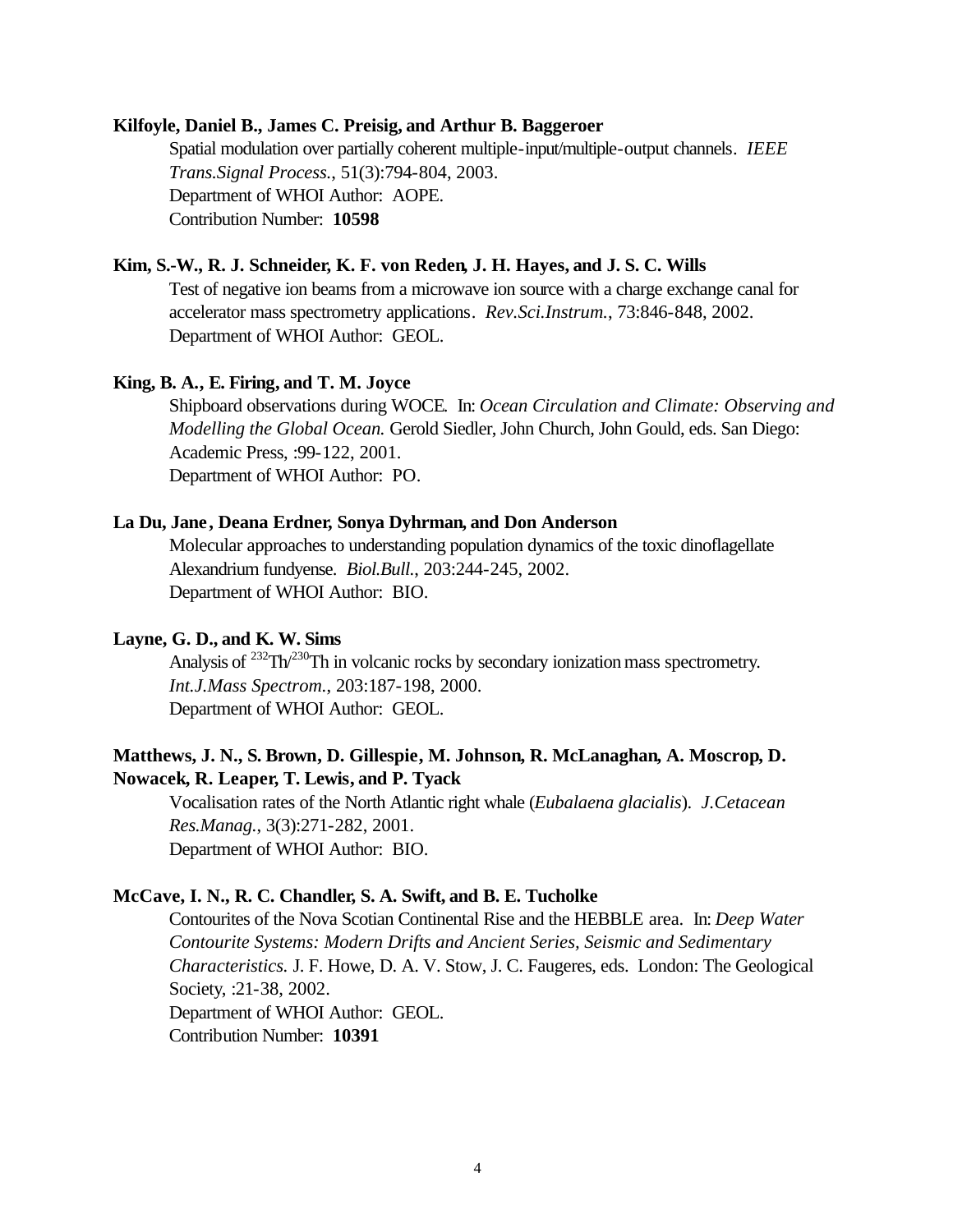#### **Kilfoyle, Daniel B., James C. Preisig, and Arthur B. Baggeroer**

Spatial modulation over partially coherent multiple-input/multiple-output channels. *IEEE Trans.Signal Process.*, 51(3):794-804, 2003. Department of WHOI Author: AOPE. Contribution Number: **10598**

### **Kim, S.-W., R. J. Schneider, K. F. von Reden, J. H. Hayes, and J. S. C. Wills**

Test of negative ion beams from a microwave ion source with a charge exchange canal for accelerator mass spectrometry applications. *Rev.Sci.Instrum.*, 73:846-848, 2002. Department of WHOI Author: GEOL.

#### **King, B. A., E. Firing, and T. M. Joyce**

Shipboard observations during WOCE. In: *Ocean Circulation and Climate: Observing and Modelling the Global Ocean.* Gerold Siedler, John Church, John Gould, eds. San Diego: Academic Press, :99-122, 2001. Department of WHOI Author: PO.

#### **La Du, Jane, Deana Erdner, Sonya Dyhrman, and Don Anderson**

Molecular approaches to understanding population dynamics of the toxic dinoflagellate Alexandrium fundyense. *Biol.Bull.*, 203:244-245, 2002. Department of WHOI Author: BIO.

### **Layne, G. D., and K. W. Sims**

Analysis of <sup>232</sup>Th<sup>/230</sup>Th in volcanic rocks by secondary ionization mass spectrometry. *Int.J.Mass Spectrom.*, 203:187-198, 2000. Department of WHOI Author: GEOL.

### **Matthews, J. N., S. Brown, D. Gillespie, M. Johnson, R. McLanaghan, A. Moscrop, D. Nowacek, R. Leaper, T. Lewis, and P. Tyack**

Vocalisation rates of the North Atlantic right whale (*Eubalaena glacialis*). *J.Cetacean Res.Manag.*, 3(3):271-282, 2001. Department of WHOI Author: BIO.

#### **McCave, I. N., R. C. Chandler, S. A. Swift, and B. E. Tucholke**

Contourites of the Nova Scotian Continental Rise and the HEBBLE area. In: *Deep Water Contourite Systems: Modern Drifts and Ancient Series, Seismic and Sedimentary Characteristics.* J. F. Howe, D. A. V. Stow, J. C. Faugeres, eds. London: The Geological Society, :21-38, 2002. Department of WHOI Author: GEOL.

Contribution Number: **10391**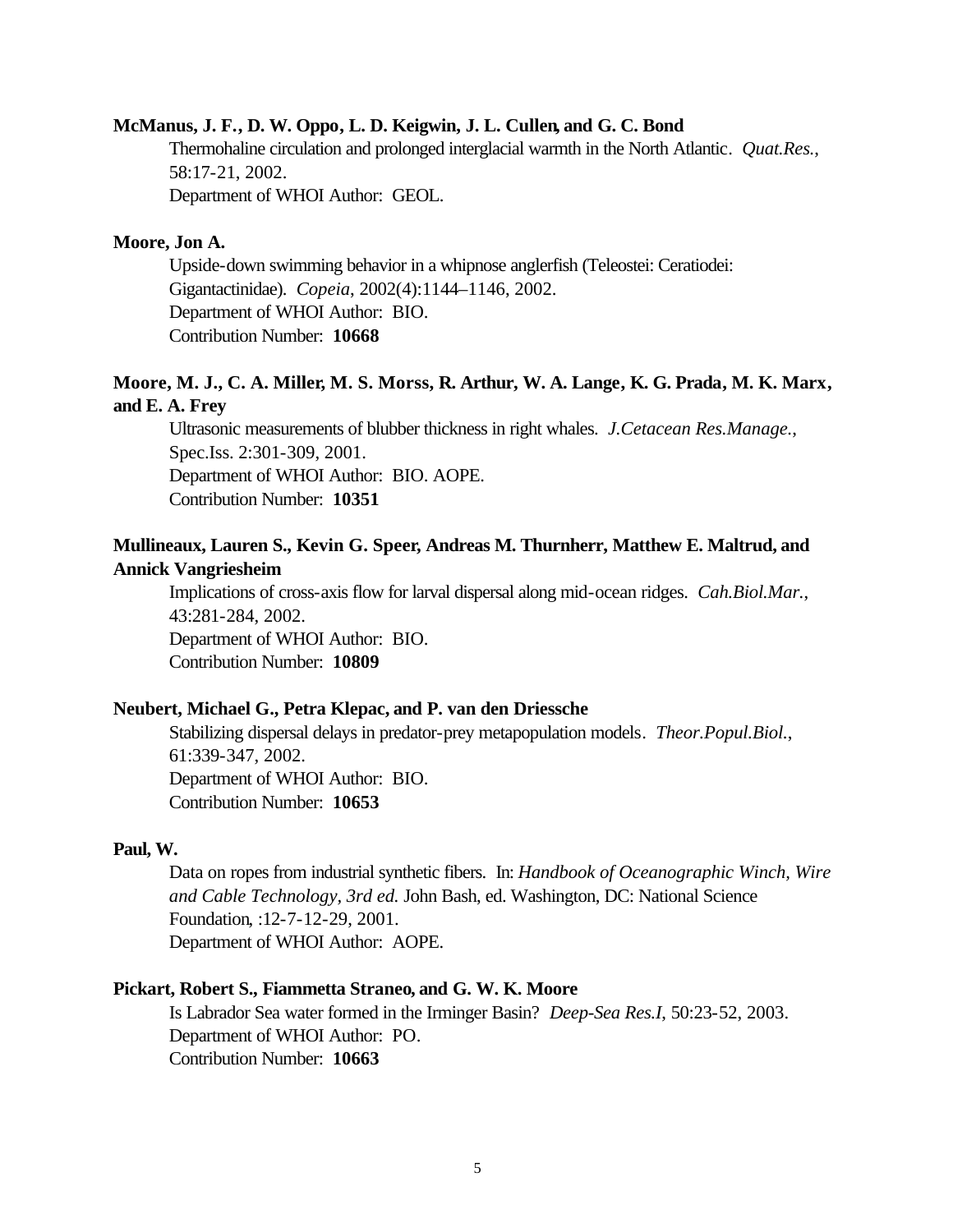#### **McManus, J. F., D. W. Oppo, L. D. Keigwin, J. L. Cullen, and G. C. Bond**

Thermohaline circulation and prolonged interglacial warmth in the North Atlantic. *Quat.Res.*, 58:17-21, 2002.

Department of WHOI Author: GEOL.

### **Moore, Jon A.**

Upside-down swimming behavior in a whipnose anglerfish (Teleostei: Ceratiodei: Gigantactinidae). *Copeia*, 2002(4):1144–1146, 2002. Department of WHOI Author: BIO. Contribution Number: **10668**

### **Moore, M. J., C. A. Miller, M. S. Morss, R. Arthur, W. A. Lange, K. G. Prada, M. K. Marx, and E. A. Frey**

Ultrasonic measurements of blubber thickness in right whales. *J.Cetacean Res.Manage.*, Spec.Iss. 2:301-309, 2001. Department of WHOI Author: BIO. AOPE. Contribution Number: **10351**

### **Mullineaux, Lauren S., Kevin G. Speer, Andreas M. Thurnherr, Matthew E. Maltrud, and Annick Vangriesheim**

Implications of cross-axis flow for larval dispersal along mid-ocean ridges. *Cah.Biol.Mar.*, 43:281-284, 2002. Department of WHOI Author: BIO. Contribution Number: **10809**

### **Neubert, Michael G., Petra Klepac, and P. van den Driessche**

Stabilizing dispersal delays in predator-prey metapopulation models. *Theor.Popul.Biol.*, 61:339-347, 2002. Department of WHOI Author: BIO. Contribution Number: **10653**

#### **Paul, W.**

Data on ropes from industrial synthetic fibers. In: *Handbook of Oceanographic Winch, Wire and Cable Technology, 3rd ed.* John Bash, ed. Washington, DC: National Science Foundation, :12-7-12-29, 2001. Department of WHOI Author: AOPE.

#### **Pickart, Robert S., Fiammetta Straneo, and G. W. K. Moore**

Is Labrador Sea water formed in the Irminger Basin? *Deep-Sea Res.I*, 50:23-52, 2003. Department of WHOI Author: PO. Contribution Number: **10663**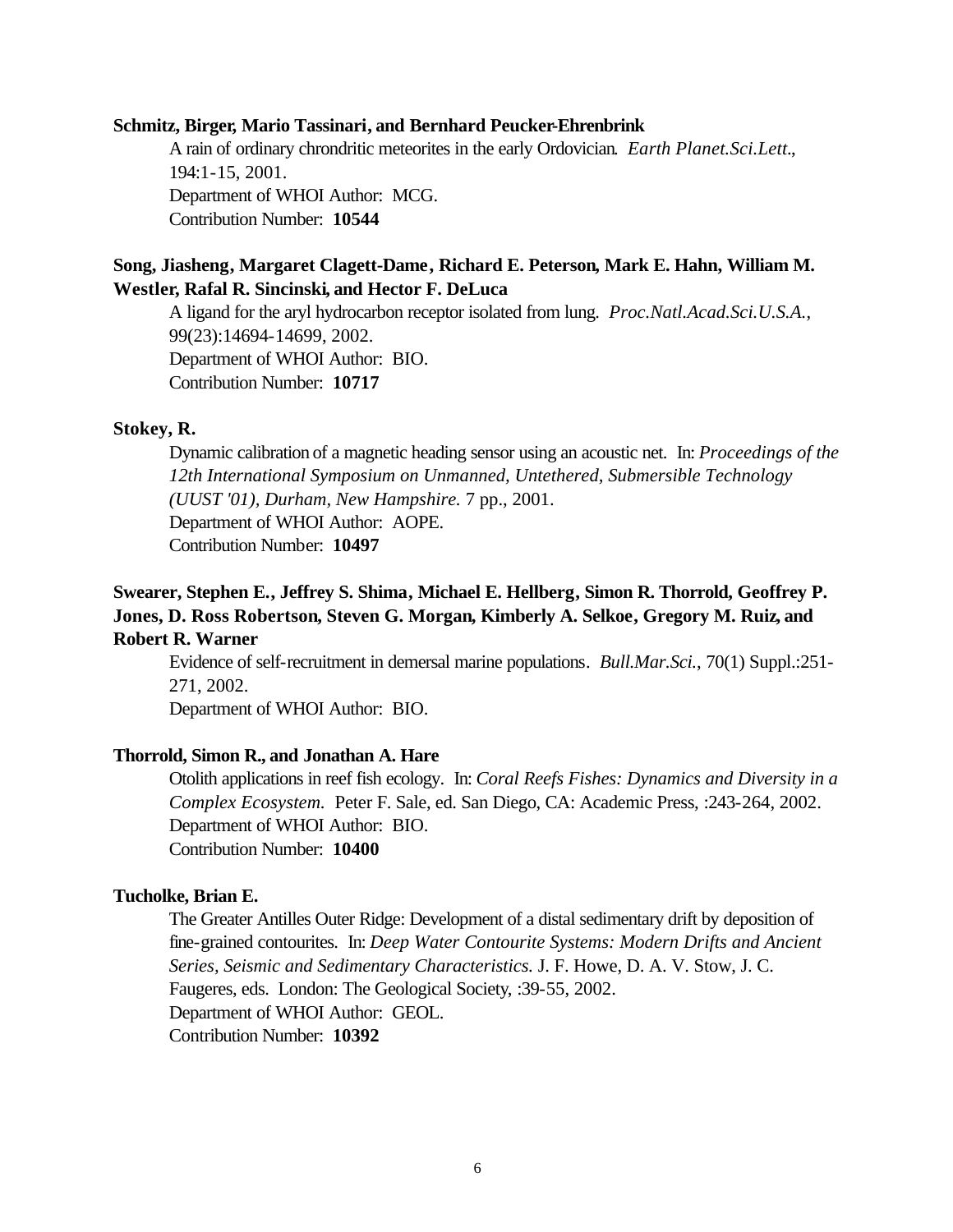#### **Schmitz, Birger, Mario Tassinari, and Bernhard Peucker-Ehrenbrink**

A rain of ordinary chrondritic meteorites in the early Ordovician. *Earth Planet.Sci.Lett.*, 194:1-15, 2001. Department of WHOI Author: MCG. Contribution Number: **10544**

### **Song, Jiasheng, Margaret Clagett-Dame, Richard E. Peterson, Mark E. Hahn, William M. Westler, Rafal R. Sincinski, and Hector F. DeLuca**

A ligand for the aryl hydrocarbon receptor isolated from lung. *Proc.Natl.Acad.Sci.U.S.A.*, 99(23):14694-14699, 2002. Department of WHOI Author: BIO. Contribution Number: **10717**

### **Stokey, R.**

Dynamic calibration of a magnetic heading sensor using an acoustic net. In: *Proceedings of the 12th International Symposium on Unmanned, Untethered, Submersible Technology (UUST '01), Durham, New Hampshire.* 7 pp., 2001. Department of WHOI Author: AOPE. Contribution Number: **10497**

### **Swearer, Stephen E., Jeffrey S. Shima, Michael E. Hellberg, Simon R. Thorrold, Geoffrey P. Jones, D. Ross Robertson, Steven G. Morgan, Kimberly A. Selkoe, Gregory M. Ruiz, and Robert R. Warner**

Evidence of self-recruitment in demersal marine populations. *Bull.Mar.Sci.*, 70(1) Suppl.:251- 271, 2002.

Department of WHOI Author: BIO.

### **Thorrold, Simon R., and Jonathan A. Hare**

Otolith applications in reef fish ecology. In: *Coral Reefs Fishes: Dynamics and Diversity in a Complex Ecosystem.* Peter F. Sale, ed. San Diego, CA: Academic Press, :243-264, 2002. Department of WHOI Author: BIO. Contribution Number: **10400**

#### **Tucholke, Brian E.**

The Greater Antilles Outer Ridge: Development of a distal sedimentary drift by deposition of fine-grained contourites. In: *Deep Water Contourite Systems: Modern Drifts and Ancient Series, Seismic and Sedimentary Characteristics.* J. F. Howe, D. A. V. Stow, J. C. Faugeres, eds. London: The Geological Society, :39-55, 2002. Department of WHOI Author: GEOL. Contribution Number: **10392**